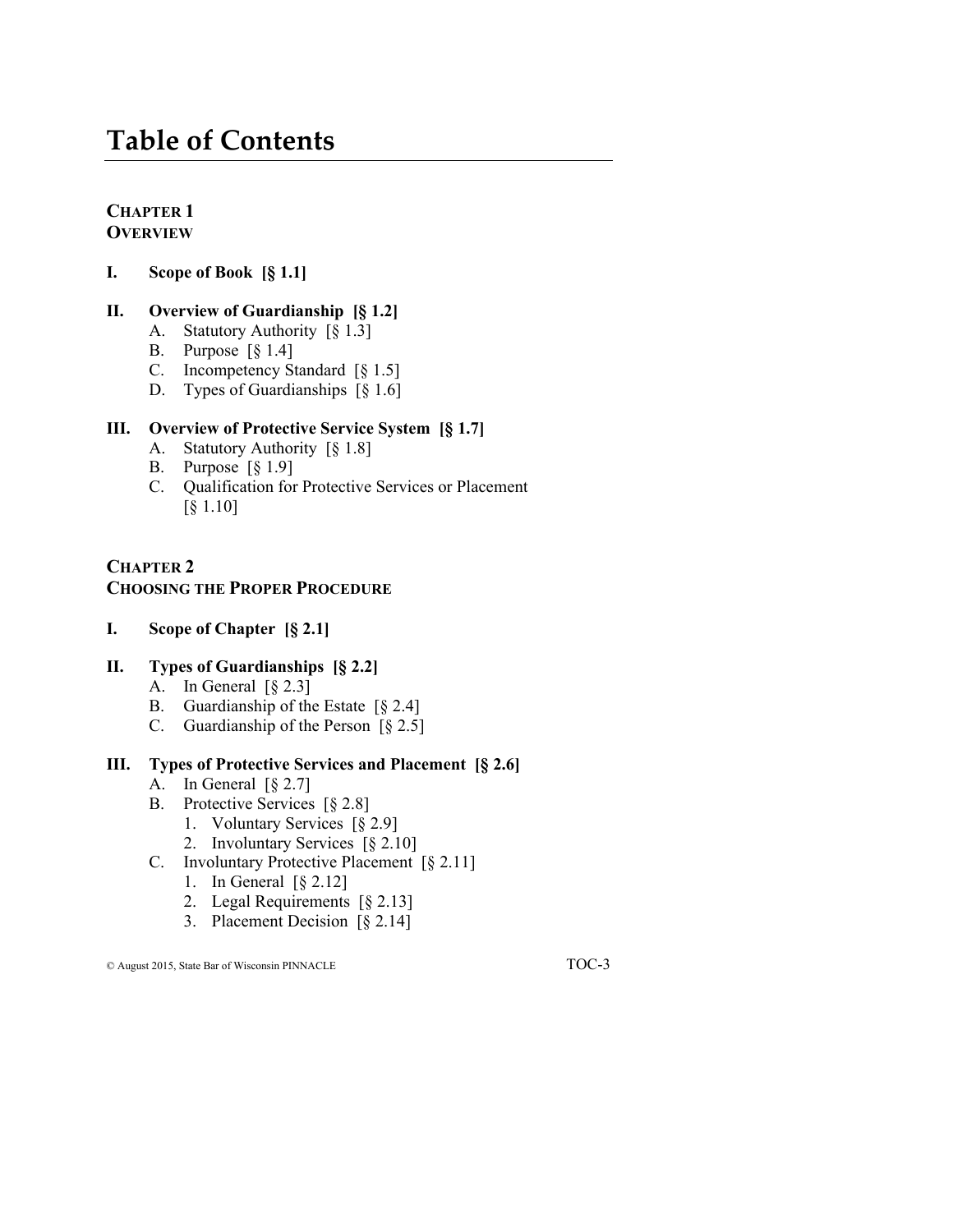# **Table of Contents**

#### **CHAPTER 1 OVERVIEW**

**I. Scope of Book [§ 1.1]**

### **II. Overview of Guardianship [§ 1.2]**

- A. Statutory Authority [§ 1.3]
- B. Purpose [§ 1.4]
- C. Incompetency Standard [§ 1.5]
- D. Types of Guardianships [§ 1.6]

### **III. Overview of Protective Service System [§ 1.7]**

- A. Statutory Authority [§ 1.8]
- B. Purpose [§ 1.9]
- C. Qualification for Protective Services or Placement [§ 1.10]

#### **CHAPTER 2 CHOOSING THE PROPER PROCEDURE**

**I. Scope of Chapter [§ 2.1]**

### **II. Types of Guardianships [§ 2.2]**

- A. In General [§ 2.3]
- B. Guardianship of the Estate [§ 2.4]
- C. Guardianship of the Person [§ 2.5]

#### **III. Types of Protective Services and Placement [§ 2.6]**

- A. In General  $\lceil \frac{6}{9} \rceil$  2.7]
- B. Protective Services [§ 2.8]
	- 1. Voluntary Services [§ 2.9]
	- 2. Involuntary Services [§ 2.10]
- C. Involuntary Protective Placement [§ 2.11]
	- 1. In General [§ 2.12]
	- 2. Legal Requirements [§ 2.13]
	- 3. Placement Decision [§ 2.14]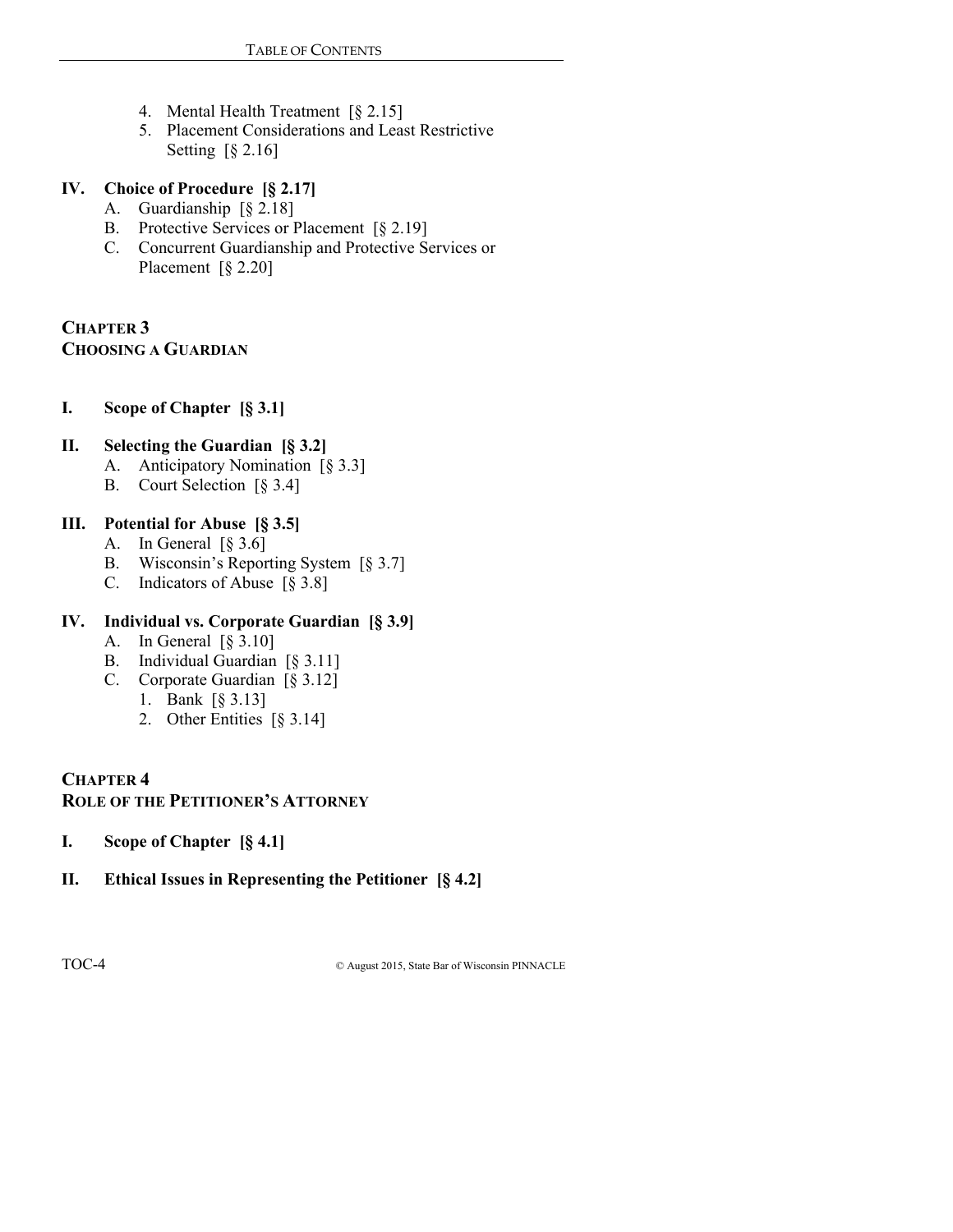- 4. Mental Health Treatment [§ 2.15]
- 5. Placement Considerations and Least Restrictive Setting [§ 2.16]

### **IV. Choice of Procedure [§ 2.17]**

- A. Guardianship [§ 2.18]
- B. Protective Services or Placement [§ 2.19]
- C. Concurrent Guardianship and Protective Services or Placement [§ 2.20]

### **CHAPTER 3 CHOOSING A GUARDIAN**

**I. Scope of Chapter [§ 3.1]**

### **II. Selecting the Guardian [§ 3.2]**

- A. Anticipatory Nomination [§ 3.3]
- B. Court Selection [§ 3.4]

# **III. Potential for Abuse [§ 3.5]**

- A. In General  $\lceil \S 3.6 \rceil$
- B. Wisconsin's Reporting System [§ 3.7]
- C. Indicators of Abuse [§ 3.8]

# **IV. Individual vs. Corporate Guardian [§ 3.9]**

- A. In General [§ 3.10]
- B. Individual Guardian [§ 3.11]
- C. Corporate Guardian [§ 3.12]
	- 1. Bank [§ 3.13]
	- 2. Other Entities [§ 3.14]

### **CHAPTER 4 ROLE OF THE PETITIONER'S ATTORNEY**

- **I. Scope of Chapter [§ 4.1]**
- **II. Ethical Issues in Representing the Petitioner [§ 4.2]**

TOC-4 © August 2015, State Bar of Wisconsin PINNACLE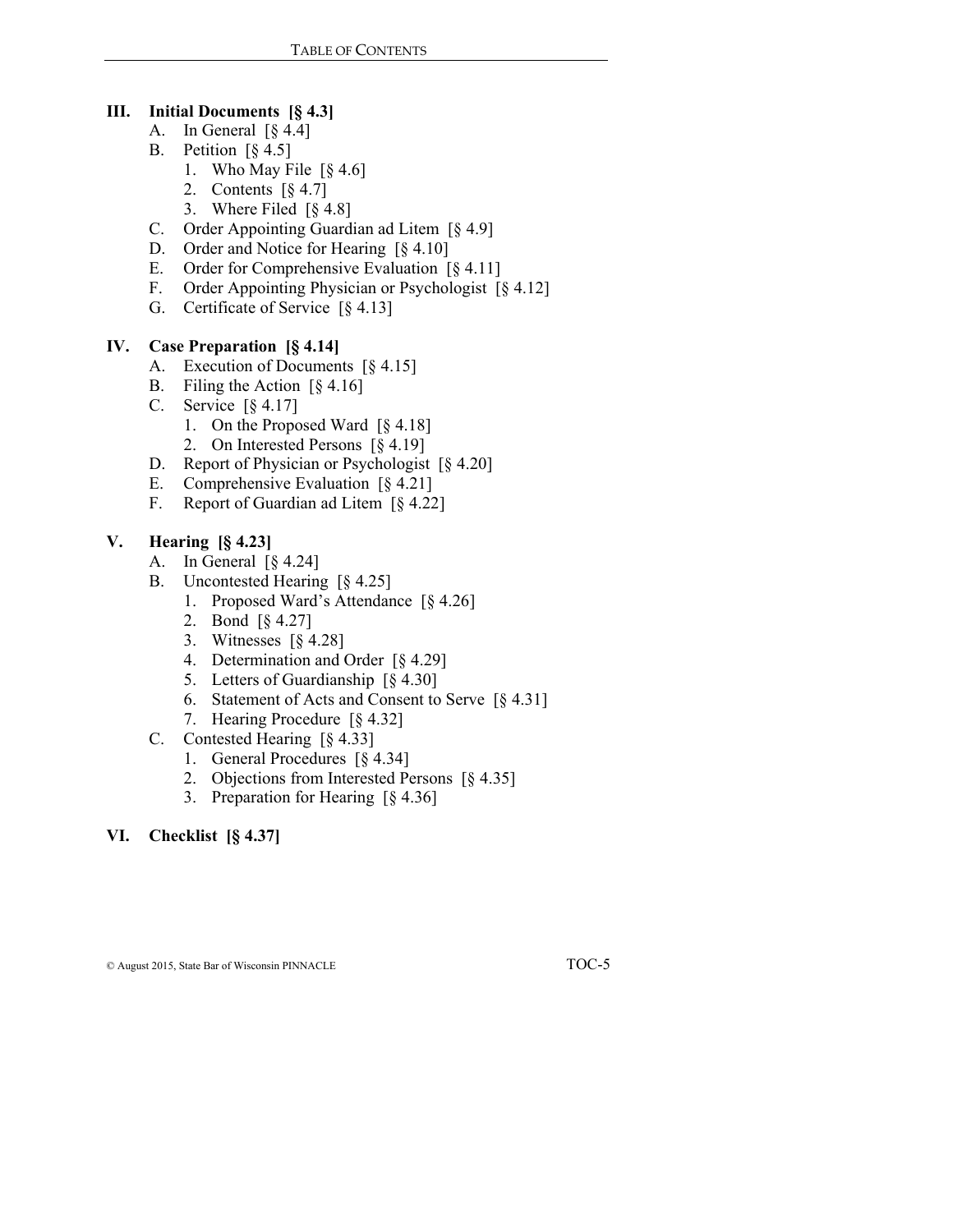#### **III. Initial Documents [§ 4.3]**

- A. In General [§ 4.4]
- B. Petition  $\lceil \S 4.5 \rceil$ 
	- 1. Who May File [§ 4.6]
		- 2. Contents  $\lceil \S 4.7 \rceil$
		- 3. Where Filed [§ 4.8]
- C. Order Appointing Guardian ad Litem [§ 4.9]
- D. Order and Notice for Hearing [§ 4.10]
- E. Order for Comprehensive Evaluation [§ 4.11]
- F. Order Appointing Physician or Psychologist [§ 4.12]
- G. Certificate of Service [§ 4.13]

### **IV. Case Preparation [§ 4.14]**

- A. Execution of Documents [§ 4.15]
- B. Filing the Action [§ 4.16]
- C. Service [§ 4.17]
	- 1. On the Proposed Ward [§ 4.18]
	- 2. On Interested Persons [§ 4.19]
- D. Report of Physician or Psychologist [§ 4.20]
- E. Comprehensive Evaluation [§ 4.21]
- F. Report of Guardian ad Litem [§ 4.22]

### **V. Hearing [§ 4.23]**

- A. In General [§ 4.24]
- B. Uncontested Hearing [§ 4.25]
	- 1. Proposed Ward's Attendance [§ 4.26]
	- 2. Bond [§ 4.27]
	- 3. Witnesses [§ 4.28]
	- 4. Determination and Order [§ 4.29]
	- 5. Letters of Guardianship [§ 4.30]
	- 6. Statement of Acts and Consent to Serve [§ 4.31]
	- 7. Hearing Procedure [§ 4.32]
- C. Contested Hearing [§ 4.33]
	- 1. General Procedures [§ 4.34]
	- 2. Objections from Interested Persons [§ 4.35]
	- 3. Preparation for Hearing [§ 4.36]

# **VI. Checklist [§ 4.37]**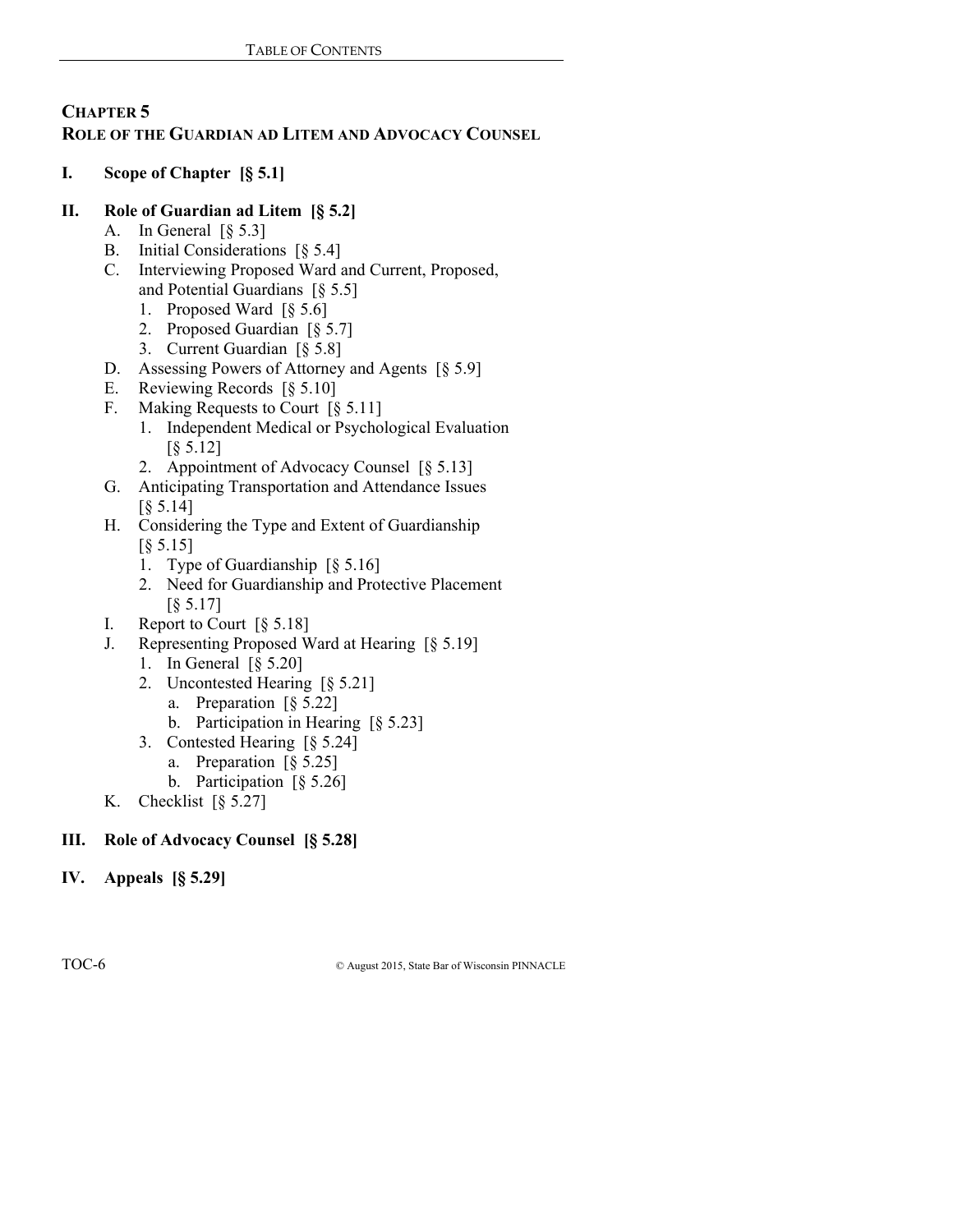# **CHAPTER 5 ROLE OF THE GUARDIAN AD LITEM AND ADVOCACY COUNSEL**

# **I. Scope of Chapter [§ 5.1]**

# **II. Role of Guardian ad Litem [§ 5.2]**

- A. In General [§ 5.3]
- B. Initial Considerations [§ 5.4]
- C. Interviewing Proposed Ward and Current, Proposed, and Potential Guardians [§ 5.5]
	- 1. Proposed Ward [§ 5.6]
	- 2. Proposed Guardian [§ 5.7]
	- 3. Current Guardian [§ 5.8]
- D. Assessing Powers of Attorney and Agents [§ 5.9]
- E. Reviewing Records [§ 5.10]
- F. Making Requests to Court [§ 5.11]
	- 1. Independent Medical or Psychological Evaluation [§ 5.12]
	- 2. Appointment of Advocacy Counsel [§ 5.13]
- G. Anticipating Transportation and Attendance Issues [§ 5.14]
- H. Considering the Type and Extent of Guardianship [§ 5.15]
	- 1. Type of Guardianship [§ 5.16]
	- 2. Need for Guardianship and Protective Placement [§ 5.17]
- I. Report to Court [§ 5.18]
- J. Representing Proposed Ward at Hearing [§ 5.19]
	- 1. In General [§ 5.20]
	- 2. Uncontested Hearing [§ 5.21]
		- a. Preparation [§ 5.22]
		- b. Participation in Hearing [§ 5.23]
	- 3. Contested Hearing [§ 5.24]
		- a. Preparation [§ 5.25]
			- b. Participation [§ 5.26]
- K. Checklist  $\lceil \S 5.27 \rceil$

# **III. Role of Advocacy Counsel [§ 5.28]**

**IV. Appeals [§ 5.29]**

TOC-6 © August 2015, State Bar of Wisconsin PINNACLE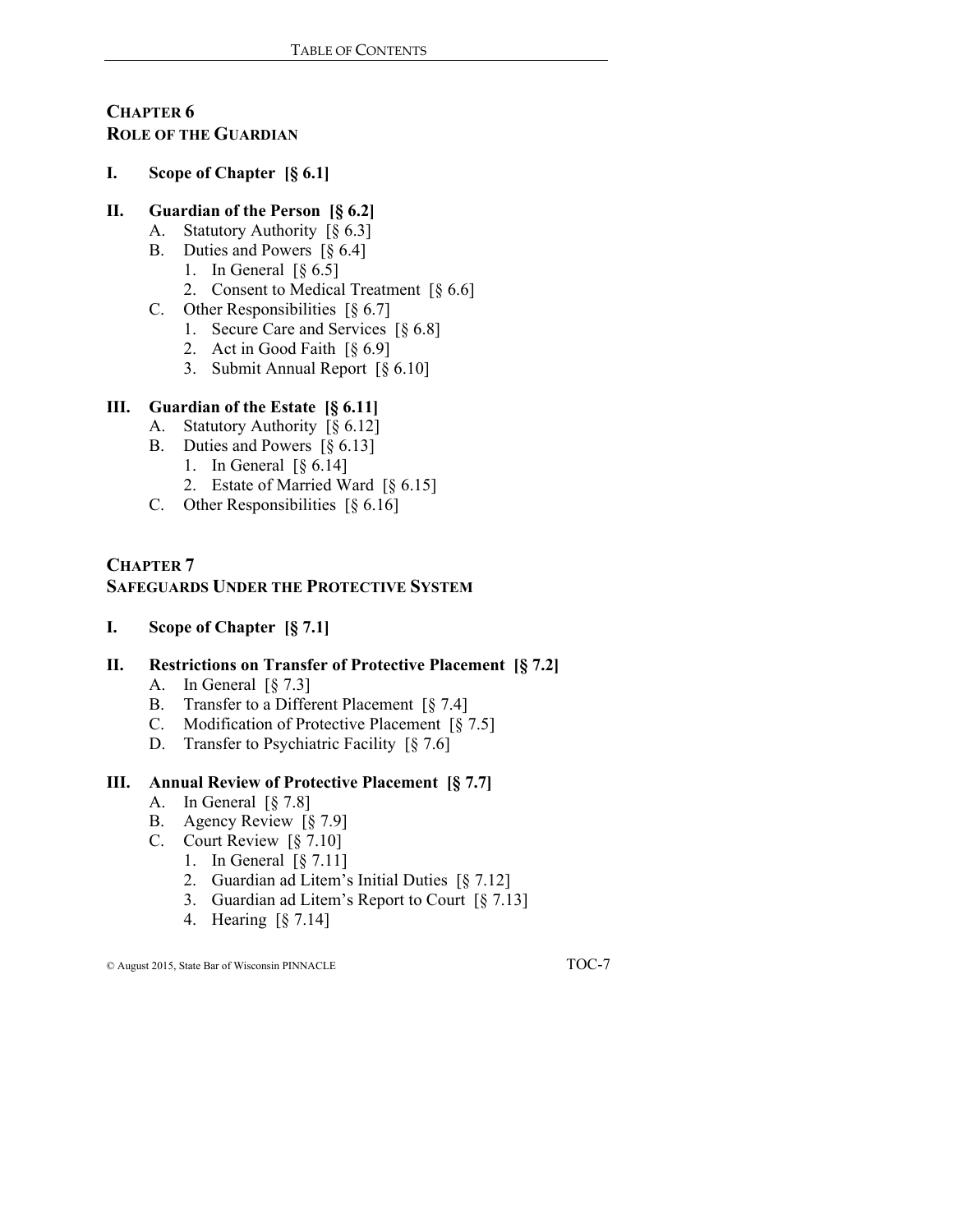# **CHAPTER 6 ROLE OF THE GUARDIAN**

#### **I. Scope of Chapter [§ 6.1]**

### **II. Guardian of the Person [§ 6.2]**

- A. Statutory Authority [§ 6.3]
- B. Duties and Powers [§ 6.4]
	- 1. In General  $\lceil \S 6.5 \rceil$
	- 2. Consent to Medical Treatment [§ 6.6]
- C. Other Responsibilities [§ 6.7]
	- 1. Secure Care and Services [§ 6.8]
	- 2. Act in Good Faith [§ 6.9]
	- 3. Submit Annual Report [§ 6.10]

### **III. Guardian of the Estate [§ 6.11]**

- A. Statutory Authority [§ 6.12]
- B. Duties and Powers [§ 6.13]
	- 1. In General [§ 6.14]
	- 2. Estate of Married Ward [§ 6.15]
- C. Other Responsibilities [§ 6.16]

### **CHAPTER 7 SAFEGUARDS UNDER THE PROTECTIVE SYSTEM**

**I. Scope of Chapter [§ 7.1]**

# **II. Restrictions on Transfer of Protective Placement [§ 7.2]**

- A. In General [§ 7.3]
- B. Transfer to a Different Placement [§ 7.4]
- C. Modification of Protective Placement [§ 7.5]
- D. Transfer to Psychiatric Facility [§ 7.6]

### **III. Annual Review of Protective Placement [§ 7.7]**

- A. In General [§ 7.8]
- B. Agency Review [§ 7.9]
- C. Court Review [§ 7.10]
	- 1. In General [§ 7.11]
	- 2. Guardian ad Litem's Initial Duties [§ 7.12]
	- 3. Guardian ad Litem's Report to Court [§ 7.13]
	- 4. Hearing [§ 7.14]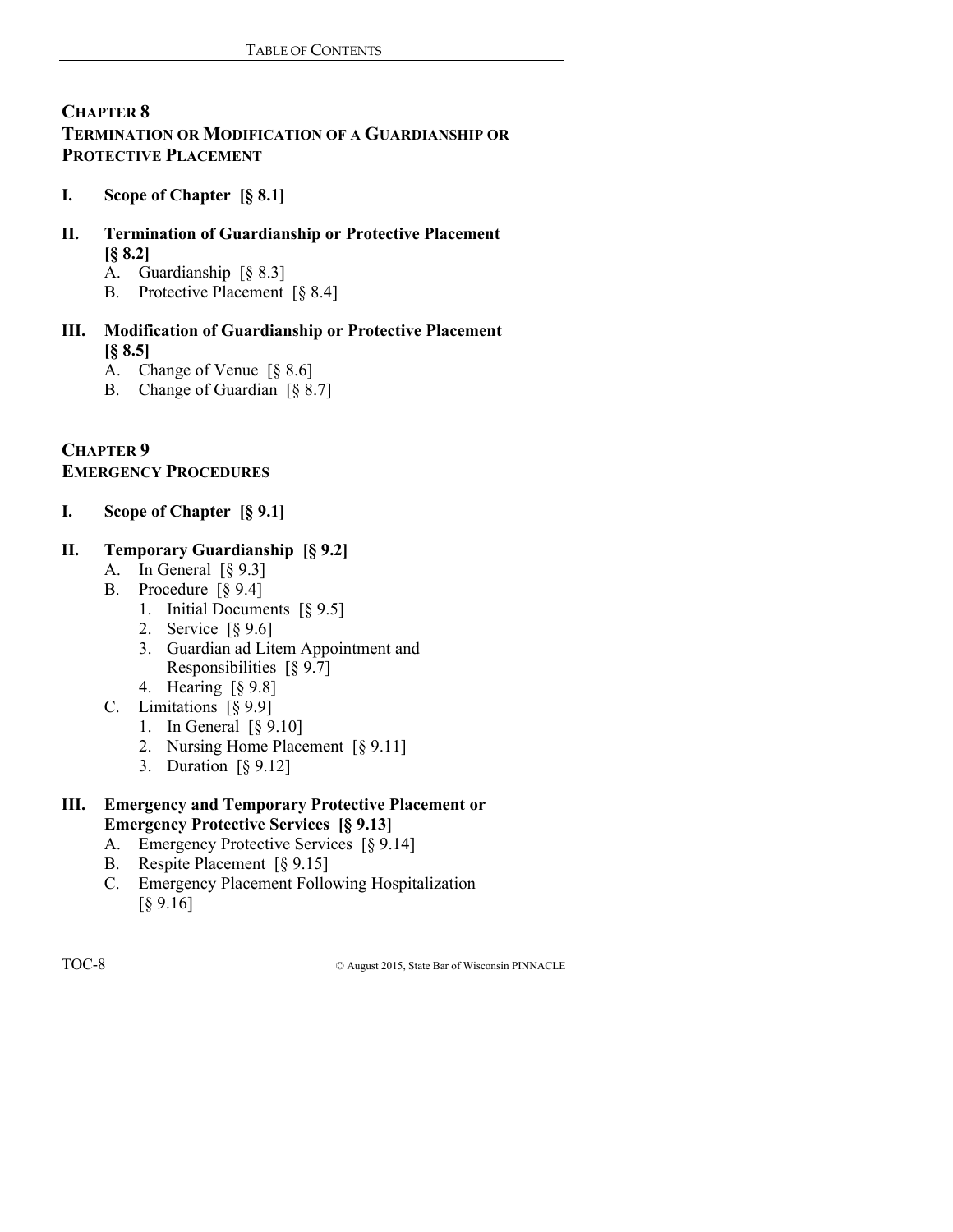# **CHAPTER 8 TERMINATION OR MODIFICATION OF A GUARDIANSHIP OR PROTECTIVE PLACEMENT**

# **I. Scope of Chapter [§ 8.1]**

- **II. Termination of Guardianship or Protective Placement [§ 8.2]**
	- A. Guardianship [§ 8.3]
	- B. Protective Placement [§ 8.4]
- **III. Modification of Guardianship or Protective Placement [§ 8.5]**
	- A. Change of Venue [§ 8.6]
	- B. Change of Guardian [§ 8.7]

### **CHAPTER 9 EMERGENCY PROCEDURES**

**I. Scope of Chapter [§ 9.1]**

### **II. Temporary Guardianship [§ 9.2]**

- A. In General [§ 9.3]
- B. Procedure [§ 9.4]
	- 1. Initial Documents [§ 9.5]
	- 2. Service [§ 9.6]
	- 3. Guardian ad Litem Appointment and Responsibilities [§ 9.7]
	- 4. Hearing [§ 9.8]
- C. Limitations [§ 9.9]
	- 1. In General [§ 9.10]
	- 2. Nursing Home Placement [§ 9.11]
	- 3. Duration [§ 9.12]

### **III. Emergency and Temporary Protective Placement or Emergency Protective Services [§ 9.13]**

- A. Emergency Protective Services [§ 9.14]
- B. Respite Placement [§ 9.15]
- C. Emergency Placement Following Hospitalization [§ 9.16]

TOC-8 © August 2015, State Bar of Wisconsin PINNACLE